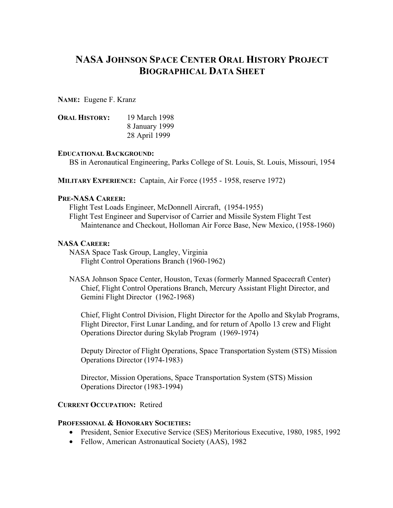# **NASA JOHNSON SPACE CENTER ORAL HISTORY PROJECT BIOGRAPHICAL DATA SHEET**

**NAME:** Eugene F. Kranz

| <b>ORAL HISTORY:</b> | 19 March 1998  |
|----------------------|----------------|
|                      | 8 January 1999 |
|                      | 28 April 1999  |

#### **EDUCATIONAL BACKGROUND:**

BS in Aeronautical Engineering, Parks College of St. Louis, St. Louis, Missouri, 1954

**MILITARY EXPERIENCE:** Captain, Air Force (1955 - 1958, reserve 1972)

#### **PRE-NASA CAREER:**

Flight Test Loads Engineer, McDonnell Aircraft, (1954-1955) Flight Test Engineer and Supervisor of Carrier and Missile System Flight Test Maintenance and Checkout, Holloman Air Force Base, New Mexico, (1958-1960)

#### **NASA CAREER:**

NASA Space Task Group, Langley, Virginia Flight Control Operations Branch (1960-1962)

NASA Johnson Space Center, Houston, Texas (formerly Manned Spacecraft Center) Chief, Flight Control Operations Branch, Mercury Assistant Flight Director, and Gemini Flight Director (1962-1968)

Chief, Flight Control Division, Flight Director for the Apollo and Skylab Programs, Flight Director, First Lunar Landing, and for return of Apollo 13 crew and Flight Operations Director during Skylab Program (1969-1974)

Deputy Director of Flight Operations, Space Transportation System (STS) Mission Operations Director (1974-1983)

Director, Mission Operations, Space Transportation System (STS) Mission Operations Director (1983-1994)

#### **CURRENT OCCUPATION:** Retired

#### **PROFESSIONAL & HONORARY SOCIETIES:**

- President, Senior Executive Service (SES) Meritorious Executive, 1980, 1985, 1992
- Fellow, American Astronautical Society (AAS), 1982